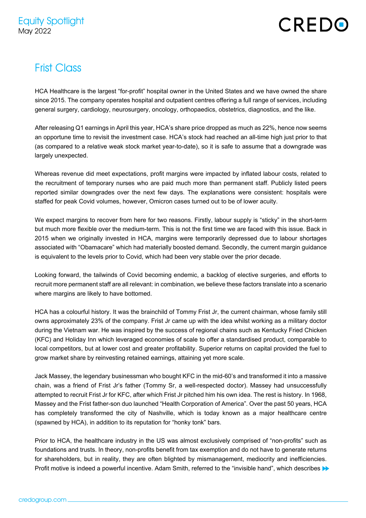## CREDO

## **Frist Class**

HCA Healthcare is the largest "for-profit" hospital owner in the United States and we have owned the share since 2015. The company operates hospital and outpatient centres offering a full range of services, including general surgery, cardiology, neurosurgery, oncology, orthopaedics, obstetrics, diagnostics, and the like.

After releasing Q1 earnings in April this year, HCA's share price dropped as much as 22%, hence now seems an opportune time to revisit the investment case. HCA's stock had reached an all-time high just prior to that (as compared to a relative weak stock market year-to-date), so it is safe to assume that a downgrade was largely unexpected.

Whereas revenue did meet expectations, profit margins were impacted by inflated labour costs, related to the recruitment of temporary nurses who are paid much more than permanent staff. Publicly listed peers reported similar downgrades over the next few days. The explanations were consistent: hospitals were staffed for peak Covid volumes, however, Omicron cases turned out to be of lower acuity.

We expect margins to recover from here for two reasons. Firstly, labour supply is "sticky" in the short-term but much more flexible over the medium-term. This is not the first time we are faced with this issue. Back in 2015 when we originally invested in HCA, margins were temporarily depressed due to labour shortages associated with "Obamacare" which had materially boosted demand. Secondly, the current margin guidance is equivalent to the levels prior to Covid, which had been very stable over the prior decade.

Looking forward, the tailwinds of Covid becoming endemic, a backlog of elective surgeries, and efforts to recruit more permanent staff are all relevant: in combination, we believe these factors translate into a scenario where margins are likely to have bottomed.

HCA has a colourful history. It was the brainchild of Tommy Frist Jr, the current chairman, whose family still owns approximately 23% of the company. Frist Jr came up with the idea whilst working as a military doctor during the Vietnam war. He was inspired by the success of regional chains such as Kentucky Fried Chicken (KFC) and Holiday Inn which leveraged economies of scale to offer a standardised product, comparable to local competitors, but at lower cost and greater profitability. Superior returns on capital provided the fuel to grow market share by reinvesting retained earnings, attaining yet more scale.

Jack Massey, the legendary businessman who bought KFC in the mid-60's and transformed it into a massive chain, was a friend of Frist Jr's father (Tommy Sr, a well-respected doctor). Massey had unsuccessfully attempted to recruit Frist Jr for KFC, after which Frist Jr pitched him his own idea. The rest is history. In 1968, Massey and the Frist father-son duo launched "Health Corporation of America". Over the past 50 years, HCA has completely transformed the city of Nashville, which is today known as a major healthcare centre (spawned by HCA), in addition to its reputation for "honky tonk" bars.

Prior to HCA, the healthcare industry in the US was almost exclusively comprised of "non-profits" such as foundations and trusts. In theory, non-profits benefit from tax exemption and do not have to generate returns for shareholders, but in reality, they are often blighted by mismanagement, mediocrity and inefficiencies. Profit motive is indeed a powerful incentive. Adam Smith, referred to the "invisible hand", which describes  $\blacktriangleright$